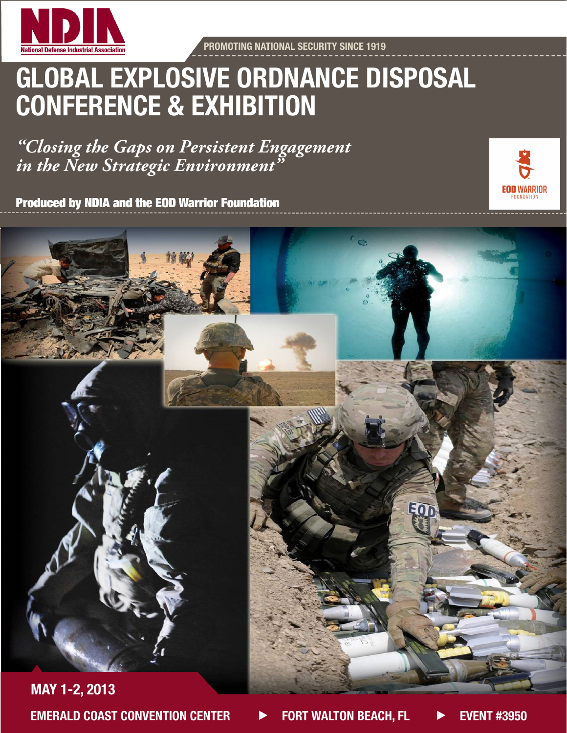

PROMOTING NATIONAL SECURITY SINCE 1919

# GLOBAL EXPLOSIVE ORDNANCE DISPOSAL CONFERENCE & EXHIBITION

*"Closing the Gaps on Persistent Engagement in the New Strategic Environment"*

Produced by NDIA and the EOD Warrior Foundation



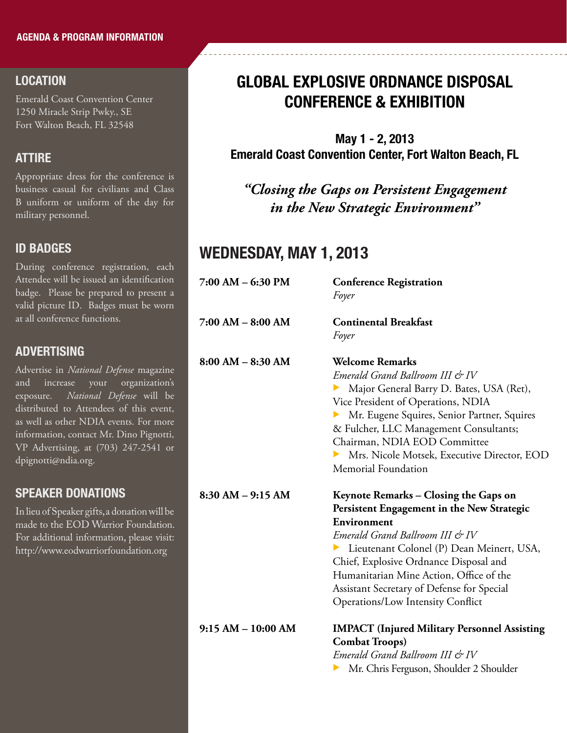#### LOCATION

Emerald Coast Convention Center 1250 Miracle Strip Pwky., SE Fort Walton Beach, FL 32548

#### **ATTIRE**

Appropriate dress for the conference is business casual for civilians and Class B uniform or uniform of the day for military personnel.

#### ID BADGES

During conference registration, each Attendee will be issued an identification badge. Please be prepared to present a valid picture ID. Badges must be worn at all conference functions.

#### **ADVERTISING**

Advertise in *National Defense* magazine and increase your organization's exposure. *National Defense* will be distributed to Attendees of this event, as well as other NDIA events. For more information, contact Mr. Dino Pignotti, VP Advertising, at (703) 247-2541 or dpignotti@ndia.org.

#### SPEAKER DONATIONS

In lieu of Speaker gifts, a donation will be made to the EOD Warrior Foundation. For additional information, please visit: http://www.eodwarriorfoundation.org

## GLOBAL EXPLOSIVE ORDNANCE DISPOSAL CONFERENCE & EXHIBITION

May 1 - 2, 2013 Emerald Coast Convention Center, Fort Walton Beach, FL

*"Closing the Gaps on Persistent Engagement in the New Strategic Environment"*

### WEDNESDAY, MAY 1, 2013

| 7:00 AM - 6:30 PM    | <b>Conference Registration</b><br>Foyer             |
|----------------------|-----------------------------------------------------|
| 7:00 AM - 8:00 AM    | <b>Continental Breakfast</b>                        |
|                      | Foyer                                               |
| $8:00 AM - 8:30 AM$  | <b>Welcome Remarks</b>                              |
|                      | Emerald Grand Ballroom III & IV                     |
|                      | Major General Barry D. Bates, USA (Ret),            |
|                      | Vice President of Operations, NDIA                  |
|                      | Mr. Eugene Squires, Senior Partner, Squires         |
|                      | & Fulcher, LLC Management Consultants;              |
|                      | Chairman, NDIA EOD Committee                        |
|                      | Mrs. Nicole Motsek, Executive Director, EOD         |
|                      | Memorial Foundation                                 |
| $8:30 AM - 9:15 AM$  | Keynote Remarks – Closing the Gaps on               |
|                      | Persistent Engagement in the New Strategic          |
|                      |                                                     |
|                      | Environment                                         |
|                      | Emerald Grand Ballroom III & IV                     |
|                      | Lieutenant Colonel (P) Dean Meinert, USA,           |
|                      | Chief, Explosive Ordnance Disposal and              |
|                      | Humanitarian Mine Action, Office of the             |
|                      | Assistant Secretary of Defense for Special          |
|                      | <b>Operations/Low Intensity Conflict</b>            |
| $9:15 AM - 10:00 AM$ | <b>IMPACT</b> (Injured Military Personnel Assisting |
|                      | <b>Combat Troops)</b>                               |
|                      | Emerald Grand Ballroom III & IV                     |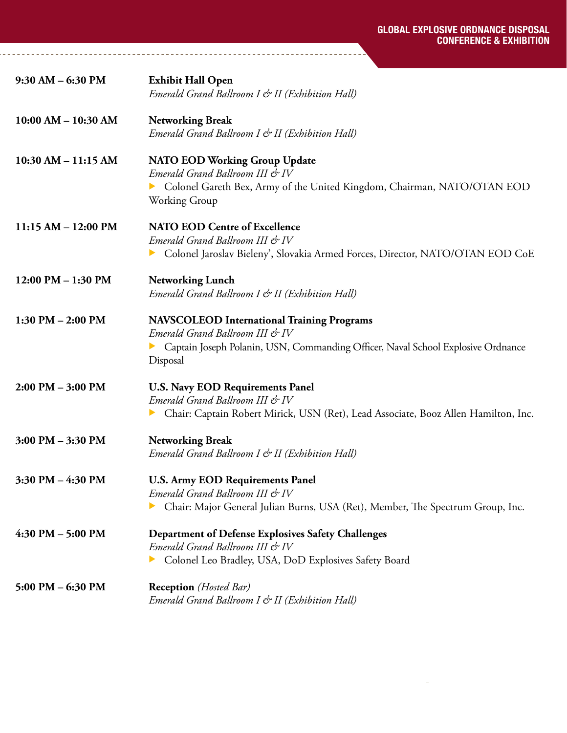| $9:30$ AM $-6:30$ PM    | <b>Exhibit Hall Open</b><br>Emerald Grand Ballroom I & II (Exhibition Hall)                                                                                                          |
|-------------------------|--------------------------------------------------------------------------------------------------------------------------------------------------------------------------------------|
| $10:00$ AM $- 10:30$ AM | <b>Networking Break</b><br>Emerald Grand Ballroom I & II (Exhibition Hall)                                                                                                           |
| $10:30$ AM $-11:15$ AM  | <b>NATO EOD Working Group Update</b><br>Emerald Grand Ballroom III & IV<br>Colonel Gareth Bex, Army of the United Kingdom, Chairman, NATO/OTAN EOD<br>Working Group                  |
| $11:15 AM - 12:00 PM$   | <b>NATO EOD Centre of Excellence</b><br>Emerald Grand Ballroom III & IV<br>Colonel Jaroslav Bieleny', Slovakia Armed Forces, Director, NATO/OTAN EOD CoE                             |
| $12:00$ PM $- 1:30$ PM  | <b>Networking Lunch</b><br>Emerald Grand Ballroom I & II (Exhibition Hall)                                                                                                           |
| $1:30$ PM $- 2:00$ PM   | <b>NAVSCOLEOD International Training Programs</b><br>Emerald Grand Ballroom III & IV<br>Captain Joseph Polanin, USN, Commanding Officer, Naval School Explosive Ordnance<br>Disposal |
| 2:00 PM - 3:00 PM       | <b>U.S. Navy EOD Requirements Panel</b><br>Emerald Grand Ballroom III & IV<br>Chair: Captain Robert Mirick, USN (Ret), Lead Associate, Booz Allen Hamilton, Inc.                     |
| $3:00$ PM $-3:30$ PM    | <b>Networking Break</b><br>Emerald Grand Ballroom I & II (Exhibition Hall)                                                                                                           |
| 3:30 PM - 4:30 PM       | <b>U.S. Army EOD Requirements Panel</b><br>Emerald Grand Ballroom III & IV<br>Chair: Major General Julian Burns, USA (Ret), Member, The Spectrum Group, Inc.                         |
| $4:30$ PM $-5:00$ PM    | <b>Department of Defense Explosives Safety Challenges</b><br>Emerald Grand Ballroom III & IV<br>Colonel Leo Bradley, USA, DoD Explosives Safety Board                                |
| $5:00$ PM $-6:30$ PM    | <b>Reception</b> ( <i>Hosted Bar</i> )<br>Emerald Grand Ballroom I & II (Exhibition Hall)                                                                                            |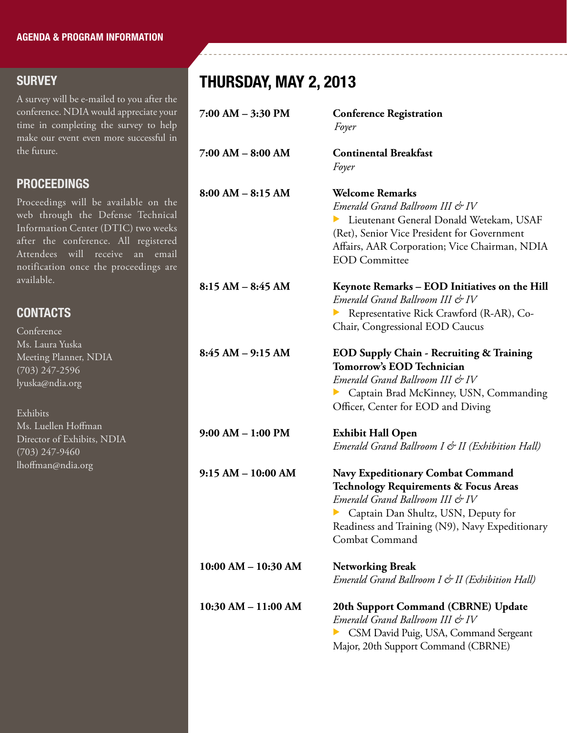#### **SURVEY**

A survey will be e-mailed to you after the conference. NDIA would appreciate your time in completing the survey to help make our event even more successful in the future.

#### PROCEEDINGS

Proceedings will be available on the web through the Defense Technical Information Center (DTIC) two weeks after the conference. All registered Attendees will receive an email notification once the proceedings are available.

#### *Emerald Grand Ballroom III & IV* Representative Rick Crawford (R-AR), Co-Chair, Congressional EOD Caucus **8:45 AM – 9:15 AM EOD Supply Chain - Recruiting & Training Tomorrow's EOD Technician**  *Emerald Grand Ballroom III & IV* **EXECUTE: Captain Brad McKinney, USN, Commanding** Officer, Center for EOD and Diving **9:00 AM – 1:00 PM Exhibit Hall Open**   *Emerald Grand Ballroom I & II (Exhibition Hall)* **9:15 AM – 10:00 AM Navy Expeditionary Combat Command CONTACTS** Conference Ms. Laura Yuska Meeting Planner, NDIA (703) 247-2596 lyuska@ndia.org Exhibits Ms. Luellen Hoffman Director of Exhibits, NDIA (703) 247-9460 lhoffman@ndia.org

### *Emerald Grand Ballroom III & IV* **Exercise Captain Dan Shultz, USN, Deputy for** Readiness and Training (N9), Navy Expeditionary Combat Command **10:00 AM – 10:30 AM Networking Break** *Emerald Grand Ballroom I & II (Exhibition Hall)* **10:30 AM – 11:00 AM 20th Support Command (CBRNE) Update**

 *Emerald Grand Ballroom III & IV* GSM David Puig, USA, Command Sergeant Major, 20th Support Command (CBRNE)

 **Technology Requirements & Focus Areas**

### THURSDAY, MAY 2, 2013

**7:00 AM – 3:30 PM Conference Registration**

**7:00 AM – 8:00 AM Continental Breakfast**

**8:00 AM – 8:15 AM Welcome Remarks**

*Foyer*

*Foyer*

*Emerald Grand Ballroom III & IV*

EOD Committee

**8:15 AM – 8:45 AM Keynote Remarks – EOD Initiatives on the Hill**

**Lieutenant General Donald Wetekam, USAF** (Ret), Senior Vice President for Government Affairs, AAR Corporation; Vice Chairman, NDIA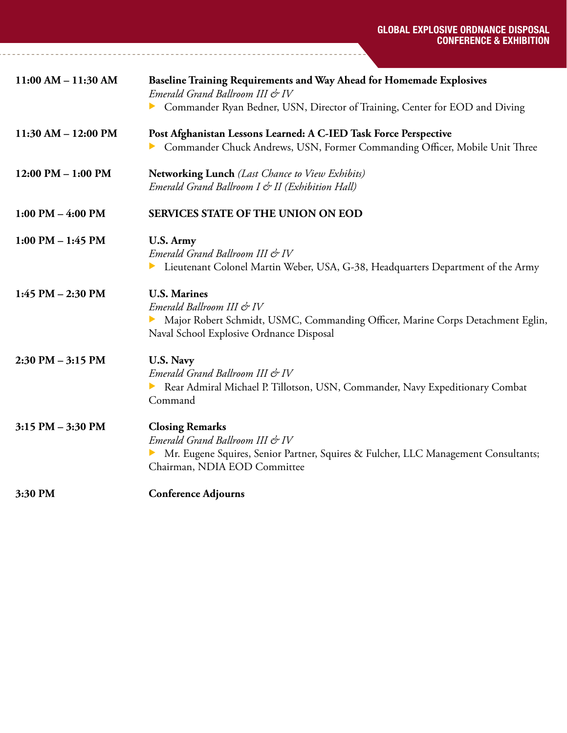| $11:00 AM - 11:30 AM$   | Baseline Training Requirements and Way Ahead for Homemade Explosives<br>Emerald Grand Ballroom III & IV<br>Commander Ryan Bedner, USN, Director of Training, Center for EOD and Diving |
|-------------------------|----------------------------------------------------------------------------------------------------------------------------------------------------------------------------------------|
| $11:30$ AM $- 12:00$ PM | Post Afghanistan Lessons Learned: A C-IED Task Force Perspective<br>Commander Chuck Andrews, USN, Former Commanding Officer, Mobile Unit Three                                         |
| $12:00$ PM $- 1:00$ PM  | Networking Lunch (Last Chance to View Exhibits)<br>Emerald Grand Ballroom I & II (Exhibition Hall)                                                                                     |
| $1:00$ PM $-$ 4:00 PM   | <b>SERVICES STATE OF THE UNION ON EOD</b>                                                                                                                                              |
| $1:00$ PM $- 1:45$ PM   | U.S. Army<br>Emerald Grand Ballroom III & IV<br>Lieutenant Colonel Martin Weber, USA, G-38, Headquarters Department of the Army<br>▶                                                   |
| $1:45$ PM $- 2:30$ PM   | <b>U.S. Marines</b><br>Emerald Ballroom III & IV<br>Major Robert Schmidt, USMC, Commanding Officer, Marine Corps Detachment Eglin,<br>Naval School Explosive Ordnance Disposal         |
| $2:30$ PM $-3:15$ PM    | U.S. Navy<br>Emerald Grand Ballroom III & IV<br>Rear Admiral Michael P. Tillotson, USN, Commander, Navy Expeditionary Combat<br>Command                                                |
| 3:15 PM - 3:30 PM       | <b>Closing Remarks</b><br>Emerald Grand Ballroom III & IV<br>Mr. Eugene Squires, Senior Partner, Squires & Fulcher, LLC Management Consultants;<br>Chairman, NDIA EOD Committee        |
| 3:30 PM                 | <b>Conference Adjourns</b>                                                                                                                                                             |

<u>. . . . . . . . . . . . . . . . . . .</u> .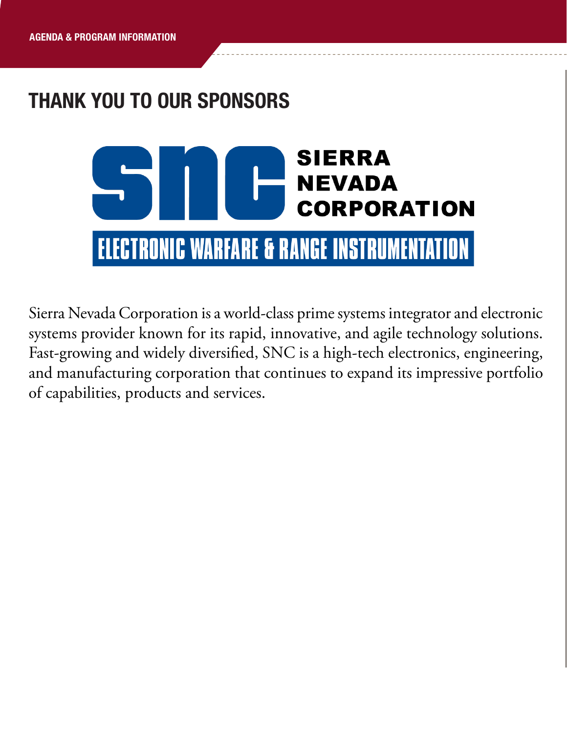# THANK YOU TO OUR SPONSORS



Sierra Nevada Corporation is a world-class prime systems integrator and electronic systems provider known for its rapid, innovative, and agile technology solutions. Fast-growing and widely diversified, SNC is a high-tech electronics, engineering, and manufacturing corporation that continues to expand its impressive portfolio of capabilities, products and services.